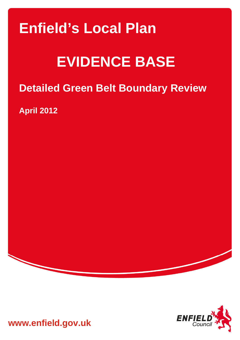# **Enfield's Local Plan**

# **EVIDENCE BASE**

## **Detailed Green Belt Boundary Review**

**April 2012** 



**www.enfield.gov.uk**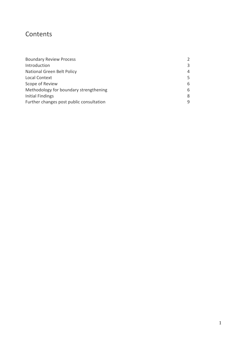### **Contents**

| <b>Boundary Review Process</b>           | $\mathcal{L}$  |
|------------------------------------------|----------------|
| Introduction                             | 3              |
| National Green Belt Policy               | $\overline{4}$ |
| <b>Local Context</b>                     | 5              |
| Scope of Review                          | 6              |
| Methodology for boundary strengthening   | 6              |
| Initial Findings                         | 8              |
| Further changes post public consultation | 9              |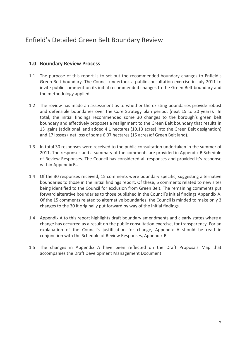### Enfield's Detailed Green Belt Boundary Review

#### **1.0 Boundary Review Process**

- 1.1 The purpose of this report is to set out the recommended boundary changes to Enfield's Green Belt boundary. The Council undertook a public consultation exercise in July 2011 to invite public comment on its initial recommended changes to the Green Belt boundary and the methodology applied.
- 1.2 The review has made an assessment as to whether the existing boundaries provide robust and defensible boundaries over the Core Strategy plan period, (next 15 to 20 years). In total, the initial findings recommended some 30 changes to the borough's green belt boundary and effectively proposes a realignment to the Green Belt boundary that results in 13 gains (additional land added 4.1 hectares (10.13 acres) into the Green Belt designation) and 17 losses ( net loss of some 6.07 hectares (15 acres)of Green Belt land).
- 1.3 In total 30 responses were received to the public consultation undertaken in the summer of 2011. The responses and a summary of the comments are provided in Appendix B Schedule of Review Responses. The Council has considered all responses and provided it's response within Appendix B..
- 1.4 Of the 30 responses received, 15 comments were boundary specific, suggesting alternative boundaries to those in the initial findings report. Of these, 6 comments related to new sites being identified to the Council for exclusion from Green Belt. The remaining comments put forward alterative boundaries to those published in the Council's initial findings Appendix A. Of the 15 comments related to alternative boundaries, the Council is minded to make only 3 changes to the 30 it originally put forward by way of the initial findings.
- 1.4 Appendix A to this report highlights draft boundary amendments and clearly states where a change has occurred as a result on the public consultation exercise, for transparency. For an explanation of the Council's justification for change, Appendix A should be read in conjunction with the Schedule of Review Responses, Appendix B.
- 1.5 The changes in Appendix A have been reflected on the Draft Proposals Map that accompanies the Draft Development Management Document.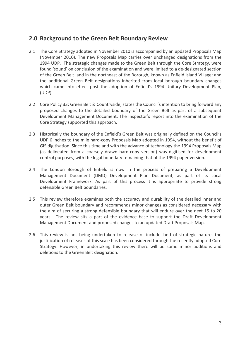#### **2.0 Background to the Green Belt Boundary Review**

- 2.1 The Core Strategy adopted in November 2010 is accompanied by an updated Proposals Map (November 2010). The new Proposals Map carries over unchanged designations from the 1994 UDP. The strategic changes made to the Green Belt through the Core Strategy, were found 'sound' on conclusion of the examination and were limited to a de‐designated section of the Green Belt land in the northeast of the Borough, known as Enfield Island Village; and the additional Green Belt designations inherited from local borough boundary changes which came into effect post the adoption of Enfield's 1994 Unitary Development Plan, (UDP).
- 2.2 Core Policy 33: Green Belt & Countryside, states the Council's intention to bring forward any proposed changes to the detailed boundary of the Green Belt as part of a subsequent Development Management Document. The Inspector's report into the examination of the Core Strategy supported this approach.
- 2.3 Historically the boundary of the Enfield's Green Belt was originally defined on the Council's UDP 6 inches to the mile hard‐copy Proposals Map adopted in 1994, without the benefit of GIS digitisation. Since this time and with the advance of technology the 1994 Proposals Map (as delineated from a coarsely drawn hard‐copy version) was digitised for development control purposes, with the legal boundary remaining that of the 1994 paper version.
- 2.4 The London Borough of Enfield is now in the process of preparing a Development Management Document (DMD) Development Plan Document, as part of its Local Development Framework. As part of this process it is appropriate to provide strong defensible Green Belt boundaries.
- 2.5 This review therefore examines both the accuracy and durability of the detailed inner and outer Green Belt boundary and recommends minor changes as considered necessary with the aim of securing a strong defensible boundary that will endure over the next 15 to 20 years. The review sits a part of the evidence base to support the Draft Development Management Document and proposed changes to an updated Draft Proposals Map.
- 2.6 This review is not being undertaken to release or include land of strategic nature, the justification of releases of this scale has been considered through the recently adopted Core Strategy. However, in undertaking this review there will be some minor additions and deletions to the Green Belt designation.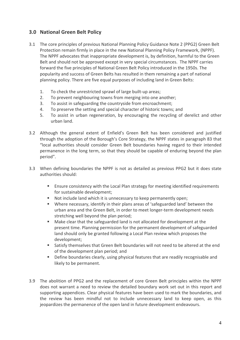#### **3.0 National Green Belt Policy**

- 3.1 The core principles of previous National Planning Policy Guidance Note 2 (PPG2) Green Belt Protection remain firmly in place in the new National Planning Policy Framework, (NPPF). The NPPF advocates that inappropriate development is, by definition, harmful to the Green Belt and should not be approved except in very special circumstances. The NPPF carries forward the five principles of National Green Belt Policy introduced in the 1950s. The popularity and success of Green Belts has resulted in them remaining a part of national planning policy. There are five equal purposes of including land in Green Belts:
	- 1. To check the unrestricted sprawl of large built‐up areas;
	- 2. To prevent neighbouring towns from merging into one another;
	- 3. To assist in safeguarding the countryside from encroachment;
	- 4. To preserve the setting and special character of historic towns; and
	- 5. To assist in urban regeneration, by encouraging the recycling of derelict and other urban land.
- 3.2 Although the general extent of Enfield's Green Belt has been considered and justified through the adoption of the Borough's Core Strategy, the NPPF states in paragraph 83 that "local authorities should consider Green Belt boundaries having regard to their intended permanence in the long term, so that they should be capable of enduring beyond the plan period".
- 3.3 When defining boundaries the NPPF is not as detailed as previous PPG2 but it does state authorities should:
	- **Ensure consistency with the Local Plan strategy for meeting identified requirements** for sustainable development;
	- Not include land which it is unnecessary to keep permanently open;
	- Where necessary, identify in their plans areas of 'safeguarded land' between the urban area and the Green Belt, in order to meet longer‐term development needs stretching well beyond the plan period;
	- Make clear that the safeguarded land is not allocated for development at the present time. Planning permission for the permanent development of safeguarded land should only be granted following a Local Plan review which proposes the development;
	- Satisfy themselves that Green Belt boundaries will not need to be altered at the end of the development plan period; and
	- **Define boundaries clearly, using physical features that are readily recognisable and** likely to be permanent.
- 3.9 The abolition of PPG2 and the replacement of core Green Belt principles within the NPPF does not warrant a need to review the detailed boundary work set out in this report and supporting appendices. Clear physical features have been used to mark the boundaries, and the review has been mindful not to include unnecessary land to keep open, as this jeopardizes the permanence of the open land in future development endeavours.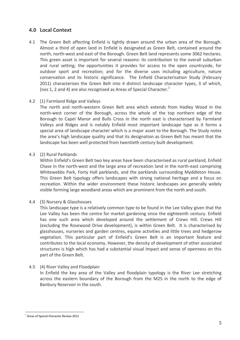#### **4.0 Local Context**

4.1 The Green Belt affecting Enfield is tightly drawn around the urban area of the Borough. Almost a third of open land in Enfield is designated as Green Belt, contained around the north, north-west and east of the Borough. Green Belt land represents some 3062 hectares. This green asset is important for several reasons: its contribution to the overall suburban and rural setting; the opportunities it provides for access to the open countryside, for outdoor sport and recreation; and for the diverse uses including agriculture, nature conservation and its historic significance. The Enfield Characterisation Study (February 2011) characterises the Green Belt into 4 distinct landscape character types, 3 of which, (nos 1, 2 and 4) are also recognised as Areas of Special Character. $<sup>1</sup>$ </sup>

#### 4.2 (1) Farmland Ridge and Valleys

The north and north-western Green Belt area which extends from Hadley Wood in the north‐west corner of the Borough, across the whole of the top northern edge of the Borough to Capel Manor and Bulls Cross in the north east is characterised by Farmland Valleys and Ridges and is notably Enfield most important landscape type as it forms a special area of landscape character which is a major asset to the Borough. The Study notes the area's high landscape quality and that its designation as Green Belt has meant that the landscape has been well protected from twentieth century built development.

#### 4.3 (2) Rural Parklands

Within Enfield's Green Belt two key areas have been characterised as rural parkland, Enfield Chase in the north‐west and the large area of recreation land in the north‐east comprising Whitewebbs Park, Forty Hall parklands, and the parklands surrounding Myddleton House. This Green Belt typology offers landscapes with strong national heritage and a focus on recreation. Within the wider environment these historic landscapes are generally widely visible forming large woodland areas which are prominent from the north and south.

#### 4.4 (3) Nursery & Glasshouses

This landscape type is a relatively common type to be found in the Lee Valley given that the Lee Valley has been the centre for market gardening since the eighteenth century. Enfield has one such area which developed around the settlement of Crews Hill. Crews Hill (excluding the Rosewood Drive development), is within Green Belt. It is characterised by glasshouses, nurseries and garden centres, equine activities and little trees and hedgerow vegetation. This particular part of Enfield's Green Belt is an important feature and contributes to the local economy. However, the density of development of other associated structures is high which has had a substantial visual impact and sense of openness on this part of the Green Belt.

#### 4.5 (4) River Valley and Floodplain

In Enfield the key area of the Valley and floodplain typology is the River Lee stretching across the eastern boundary of the Borough from the M25 in the north to the edge of Banbury Reservoir in the south.

 $\overline{a}$ 

<sup>&</sup>lt;sup>1</sup> Areas of Special Character Review 2012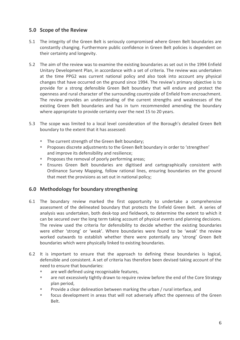#### **5.0 Scope of the Review**

- 5.1 The integrity of the Green Belt is seriously compromised where Green Belt boundaries are constantly changing. Furthermore public confidence in Green Belt policies is dependent on their certainty and longevity.
- 5.2 The aim of the review was to examine the existing boundaries as set out in the 1994 Enfield Unitary Development Plan, in accordance with a set of criteria. The review was undertaken at the time PPG2 was current national policy and also took into account any physical changes that have occurred on the ground since 1994. The review's primary objective is to provide for a strong defensible Green Belt boundary that will endure and protect the openness and rural character of the surrounding countryside of Enfield from encroachment. The review provides an understanding of the current strengths and weaknesses of the existing Green Belt boundaries and has in turn recommended amending the boundary where appropriate to provide certainty over the next 15 to 20 years.
- 5.3 The scope was limited to a local level consideration of the Borough's detailed Green Belt boundary to the extent that it has assessed:
	- The current strength of the Green Belt boundary;
	- **Proposes discrete adjustments to the Green Belt boundary in order to 'strengthen'** and improve its defensibility and resilience;
	- **Proposes the removal of poorly performing areas;**
	- Ensures Green Belt boundaries are digitised and cartographically consistent with Ordinance Survey Mapping, follow rational lines, ensuring boundaries on the ground that meet the provisions as set out in national policy;

#### **6.0 Methodology for boundary strengthening**

- 6.1 The boundary review marked the first opportunity to undertake a comprehensive assessment of the delineated boundary that protects the Enfield Green Belt. A series of analysis was undertaken, both desk‐top and fieldwork, to determine the extent to which it can be secured over the long term taking account of physical events and planning decisions. The review used the criteria for defensibility to decide whether the existing boundaries were either 'strong' or 'weak'. Where boundaries were found to be 'weak' the review worked outwards to establish whether there were potentially any 'strong' Green Belt boundaries which were physically linked to existing boundaries.
- 6.2 It is important to ensure that the approach to defining these boundaries is logical, defensible and consistent. A set of criteria has therefore been devised taking account of the need to ensure that boundaries:
	- **are well defined using recognisable features,**
	- are not excessively tightly drawn to require review before the end of the Core Strategy plan period,
	- Provide a clear delineation between marking the urban / rural interface, and
	- focus development in areas that will not adversely affect the openness of the Green Belt.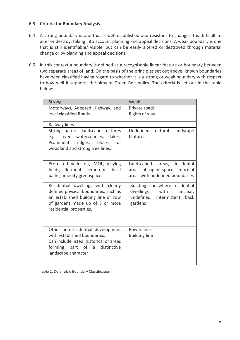#### **6.3 Criteria for Boundary Analysis**

- 6.4 A strong boundary is one that is well established and resistant to change. It is difficult to alter or destroy, taking into account planning and appeal decisions. A weak boundary is one that is still identifiable/ visible, but can be easily altered or destroyed through material change or by planning and appeal decisions.
- 6.5 In this context a boundary is defined as a recognisable linear feature or boundary between two separate areas of land. On the basis of the principles set out above, known boundaries have been classified having regard to whether it is a strong or weak boundary with respect to how well it supports the aims of Green Belt policy. The criteria is set out in the table below:

| <b>Strong</b>                                                           | Weak                            |
|-------------------------------------------------------------------------|---------------------------------|
| Motorways, Adopted Highway, and                                         | Private roads                   |
| local classified Roads.                                                 | Rights of way                   |
| Railway lines                                                           |                                 |
| Strong natural landscape features                                       | Undefined natural<br>landscape  |
| e.g. river watercourses, lakes,                                         | features.                       |
| ridges, blocks<br>Prominent<br>οf                                       |                                 |
| woodland and strong tree lines.                                         |                                 |
| Protected parks e.g. MOL, playing                                       | Landscaped areas, incidental    |
| fields, allotments, cemeteries, local                                   | areas of open space, informal   |
| parks, amenity greenspace                                               | areas with undefined boundaries |
| Residential dwellings with clearly                                      | Building Line where residential |
| defined physical boundaries, such as                                    | dwellings with<br>unclear,      |
| an established building line or row                                     | undefined, intermittent<br>back |
| of gardens made up of 3 or more                                         | gardens                         |
| residential properties.                                                 |                                 |
|                                                                         |                                 |
|                                                                         |                                 |
| Other non-residential development                                       | Power lines                     |
| with established boundaries.<br>Can include listed, historical or areas | <b>Building line</b>            |
| forming part of a distinctive                                           |                                 |
| landscape character                                                     |                                 |
|                                                                         |                                 |
|                                                                         |                                 |

Table 1: Defensible Boundary Classification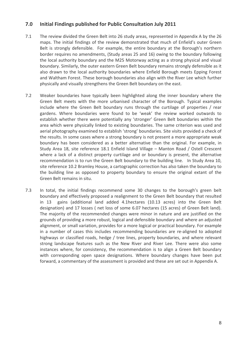#### **7.0 Initial Findings published for Public Consultation July 2011**

- 7.1 The review divided the Green Belt into 26 study areas, represented in Appendix A by the 26 maps. The initial findings of the review demonstrated that much of Enfield's outer Green Belt is strongly defensible. For example, the entire boundary at the Borough's northern border requires no amendments, (Study areas 25 and 16) owing to the boundary following the local authority boundary and the M25 Motorway acting as a strong physical and visual boundary. Similarly, the outer eastern Green Belt boundary remains strongly defensible as it also drawn to the local authority boundaries where Enfield Borough meets Epping Forest and Waltham Forest. These borough boundaries also align with the River Lee which further physically and visually strengthens the Green Belt boundary on the east.
- 7.2 Weaker boundaries have typically been highlighted along the inner boundary where the Green Belt meets with the more urbanised character of the Borough. Typical examples include where the Green Belt boundary runs through the curtilage of properties / rear gardens. Where boundaries were found to be 'weak' the review worked outwards to establish whether there were potentially any 'stronger' Green Belt boundaries within the area which were physically linked to existing boundaries. The same criterion was used and aerial photography examined to establish 'strong' boundaries. Site visits provided a check of the results. In some cases where a strong boundary is not present a more appropriate weak boundary has been considered as a better alternative than the original. For example, in Study Area 18, site reference 18.1 Enfield Island Village – Manton Road / Ostell Crescent where a lack of a distinct property curtilage and or boundary is present, the alternative recommendation is to run the Green Belt boundary to the building line. In Study Area 10, site reference 10.2 Bramley House, a cartographic correction has also taken the boundary to the building line as opposed to property boundary to ensure the original extant of the Green Belt remains in situ.
- 7.3 In total, the initial findings recommend some 30 changes to the borough's green belt boundary and effectively proposed a realignment to the Green Belt boundary that resulted in 13 gains (additional land added 4.1hectares (10.13 acres) into the Green Belt designation) and 17 losses ( net loss of some 6.07 hectares (15 acres) of Green Belt land). The majority of the recommended changes were minor in nature and are justified on the grounds of providing a more robust, logical and defensible boundary and where an adjusted alignment, or small variation, provides for a more logical or practical boundary. For example in a number of cases this includes recommending boundaries are re‐aligned to adopted highways or classified roads, hedge / tree lines, property boundaries, and where relevant strong landscape features such as the New River and River Lee. There were also some instances where, for consistency, the recommendation is to align a Green Belt boundary with corresponding open space designations. Where boundary changes have been put forward, a commentary of the assessment is provided and these are set out in Appendix A.